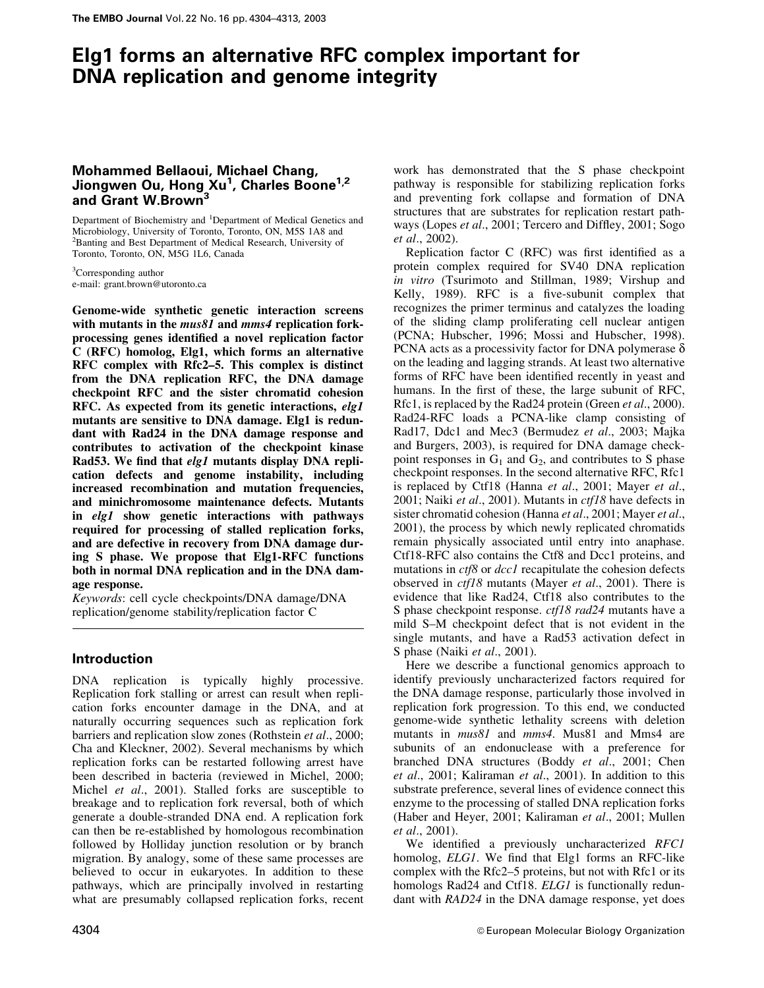# Elg1 forms an alternative RFC complex important for DNA replication and genome integrity

# Mohammed Bellaoui, Michael Chang, Jiongwen Ou, Hong Xu<sup>1</sup>, Charles Boone<sup>1,2</sup> and Grant W.Brown<sup>3</sup>

Department of Biochemistry and <sup>1</sup>Department of Medical Genetics and Microbiology, University of Toronto, Toronto, ON, M5S 1A8 and 2 Banting and Best Department of Medical Research, University of Toronto, Toronto, ON, M5G 1L6, Canada

<sup>3</sup>Corresponding author e-mail: grant.brown@utoronto.ca

Genome-wide synthetic genetic interaction screens with mutants in the *mus81* and *mms4* replication forkprocessing genes identified a novel replication factor C (RFC) homolog, Elg1, which forms an alternative RFC complex with Rfc2–5. This complex is distinct from the DNA replication RFC, the DNA damage checkpoint RFC and the sister chromatid cohesion RFC. As expected from its genetic interactions, elg1 mutants are sensitive to DNA damage. Elg1 is redundant with Rad24 in the DNA damage response and contributes to activation of the checkpoint kinase Rad53. We find that elg1 mutants display DNA replication defects and genome instability, including increased recombination and mutation frequencies, and minichromosome maintenance defects. Mutants in elg1 show genetic interactions with pathways required for processing of stalled replication forks, and are defective in recovery from DNA damage during S phase. We propose that Elg1-RFC functions both in normal DNA replication and in the DNA damage response.

Keywords: cell cycle checkpoints/DNA damage/DNA replication/genome stability/replication factor C

# Introduction

DNA replication is typically highly processive. Replication fork stalling or arrest can result when replication forks encounter damage in the DNA, and at naturally occurring sequences such as replication fork barriers and replication slow zones (Rothstein et al., 2000; Cha and Kleckner, 2002). Several mechanisms by which replication forks can be restarted following arrest have been described in bacteria (reviewed in Michel, 2000; Michel et al., 2001). Stalled forks are susceptible to breakage and to replication fork reversal, both of which generate a double-stranded DNA end. A replication fork can then be re-established by homologous recombination followed by Holliday junction resolution or by branch migration. By analogy, some of these same processes are believed to occur in eukaryotes. In addition to these pathways, which are principally involved in restarting what are presumably collapsed replication forks, recent

work has demonstrated that the S phase checkpoint pathway is responsible for stabilizing replication forks and preventing fork collapse and formation of DNA structures that are substrates for replication restart pathways (Lopes et al., 2001; Tercero and Diffley, 2001; Sogo et al., 2002).

Replication factor  $C$  (RFC) was first identified as a protein complex required for SV40 DNA replication in vitro (Tsurimoto and Stillman, 1989; Virshup and Kelly, 1989). RFC is a five-subunit complex that recognizes the primer terminus and catalyzes the loading of the sliding clamp proliferating cell nuclear antigen (PCNA; Hubscher, 1996; Mossi and Hubscher, 1998). PCNA acts as a processivity factor for DNA polymerase  $\delta$ on the leading and lagging strands. At least two alternative forms of RFC have been identified recently in yeast and humans. In the first of these, the large subunit of RFC, Rfc1, is replaced by the Rad24 protein (Green et al., 2000). Rad24-RFC loads a PCNA-like clamp consisting of Rad17, Ddc1 and Mec3 (Bermudez et al., 2003; Majka and Burgers, 2003), is required for DNA damage checkpoint responses in  $G_1$  and  $G_2$ , and contributes to S phase checkpoint responses. In the second alternative RFC, Rfc1 is replaced by Ctf18 (Hanna et al., 2001; Mayer et al., 2001; Naiki *et al.*, 2001). Mutants in *ctf18* have defects in sister chromatid cohesion (Hanna et al., 2001; Mayer et al., 2001), the process by which newly replicated chromatids remain physically associated until entry into anaphase. Ctf18-RFC also contains the Ctf8 and Dcc1 proteins, and mutations in *ctf8* or *dcc1* recapitulate the cohesion defects observed in *ctf18* mutants (Mayer *et al.*, 2001). There is evidence that like Rad24, Ctf18 also contributes to the S phase checkpoint response. *ctf18 rad24* mutants have a mild S–M checkpoint defect that is not evident in the single mutants, and have a Rad53 activation defect in S phase (Naiki *et al.*, 2001).

Here we describe a functional genomics approach to identify previously uncharacterized factors required for the DNA damage response, particularly those involved in replication fork progression. To this end, we conducted genome-wide synthetic lethality screens with deletion mutants in *mus81* and *mms4*. Mus81 and Mms4 are subunits of an endonuclease with a preference for branched DNA structures (Boddy et al., 2001; Chen et al., 2001; Kaliraman et al., 2001). In addition to this substrate preference, several lines of evidence connect this enzyme to the processing of stalled DNA replication forks (Haber and Heyer, 2001; Kaliraman et al., 2001; Mullen et al., 2001).

We identified a previously uncharacterized RFC1 homolog, ELG1. We find that Elg1 forms an RFC-like complex with the Rfc2–5 proteins, but not with Rfc1 or its homologs Rad24 and Ctf18. *ELG1* is functionally redundant with RAD24 in the DNA damage response, yet does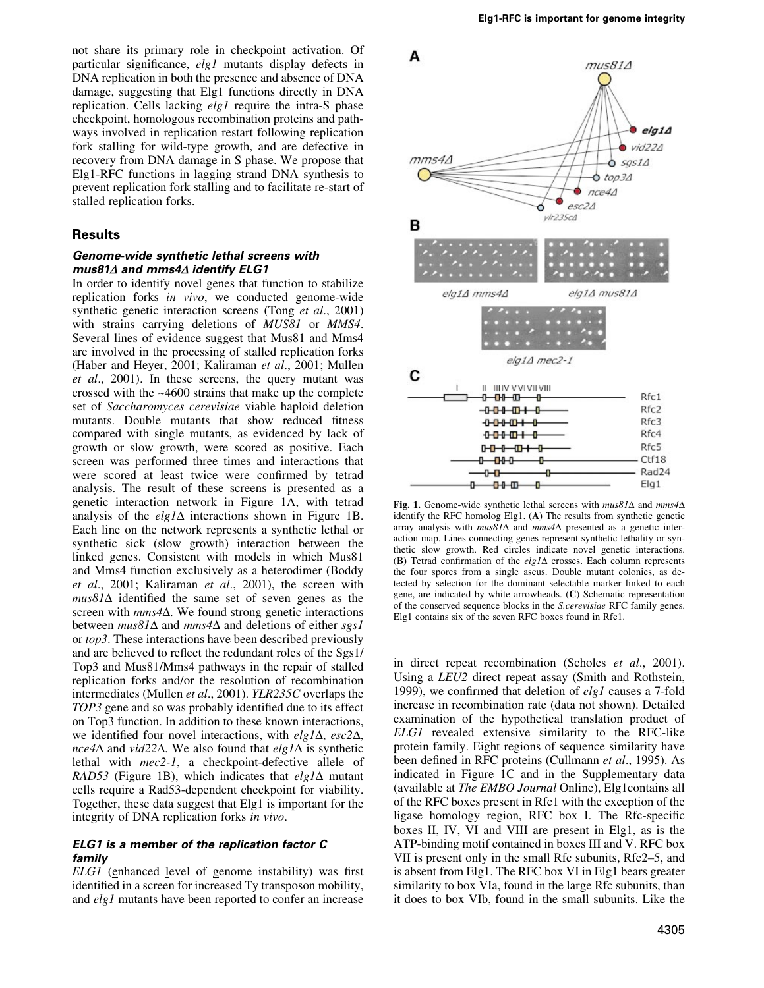not share its primary role in checkpoint activation. Of particular significance, elg1 mutants display defects in DNA replication in both the presence and absence of DNA damage, suggesting that Elg1 functions directly in DNA replication. Cells lacking *elg1* require the intra-S phase checkpoint, homologous recombination proteins and pathways involved in replication restart following replication fork stalling for wild-type growth, and are defective in recovery from DNA damage in S phase. We propose that Elg1-RFC functions in lagging strand DNA synthesis to prevent replication fork stalling and to facilitate re-start of stalled replication forks.

# **Results**

#### Genome-wide synthetic lethal screens with mus81 $\Delta$  and mms4 $\Delta$  identify ELG1

In order to identify novel genes that function to stabilize replication forks in vivo, we conducted genome-wide synthetic genetic interaction screens (Tong et al., 2001) with strains carrying deletions of MUS81 or MMS4. Several lines of evidence suggest that Mus81 and Mms4 are involved in the processing of stalled replication forks (Haber and Heyer, 2001; Kaliraman et al., 2001; Mullen et al., 2001). In these screens, the query mutant was crossed with the ~4600 strains that make up the complete set of Saccharomyces cerevisiae viable haploid deletion mutants. Double mutants that show reduced fitness compared with single mutants, as evidenced by lack of growth or slow growth, were scored as positive. Each screen was performed three times and interactions that were scored at least twice were confirmed by tetrad analysis. The result of these screens is presented as a genetic interaction network in Figure 1A, with tetrad analysis of the  $elg1\Delta$  interactions shown in Figure 1B. Each line on the network represents a synthetic lethal or synthetic sick (slow growth) interaction between the linked genes. Consistent with models in which Mus81 and Mms4 function exclusively as a heterodimer (Boddy et al., 2001; Kaliraman et al., 2001), the screen with  $mus81\Delta$  identified the same set of seven genes as the screen with  $mms4\Delta$ . We found strong genetic interactions between  $mus81\Delta$  and  $mms4\Delta$  and deletions of either sgs1 or top3. These interactions have been described previously and are believed to reflect the redundant roles of the Sgs1/ Top3 and Mus81/Mms4 pathways in the repair of stalled replication forks and/or the resolution of recombination intermediates (Mullen et al., 2001). YLR235C overlaps the TOP3 gene and so was probably identified due to its effect on Top3 function. In addition to these known interactions, we identified four novel interactions, with  $elg1\Delta$ ,  $esc2\Delta$ ,  $nce4\Delta$  and vid22 $\Delta$ . We also found that elg1 $\Delta$  is synthetic lethal with mec2-1, a checkpoint-defective allele of RAD53 (Figure 1B), which indicates that  $elg1\Delta$  mutant cells require a Rad53-dependent checkpoint for viability. Together, these data suggest that Elg1 is important for the integrity of DNA replication forks in vivo.

# ELG1 is a member of the replication factor C family

 $ELGI$  (enhanced level of genome instability) was first identified in a screen for increased Ty transposon mobility, and elg1 mutants have been reported to confer an increase



Fig. 1. Genome-wide synthetic lethal screens with  $mus81\Delta$  and  $mms4\Delta$ identify the RFC homolog Elg1. (A) The results from synthetic genetic array analysis with  $mus81\Delta$  and  $mms4\Delta$  presented as a genetic interaction map. Lines connecting genes represent synthetic lethality or synthetic slow growth. Red circles indicate novel genetic interactions. (B) Tetrad confirmation of the  $elg1\Delta$  crosses. Each column represents the four spores from a single ascus. Double mutant colonies, as detected by selection for the dominant selectable marker linked to each gene, are indicated by white arrowheads. (C) Schematic representation of the conserved sequence blocks in the S.cerevisiae RFC family genes. Elg1 contains six of the seven RFC boxes found in Rfc1.

in direct repeat recombination (Scholes *et al.*, 2001). Using a LEU2 direct repeat assay (Smith and Rothstein, 1999), we confirmed that deletion of elg1 causes a 7-fold increase in recombination rate (data not shown). Detailed examination of the hypothetical translation product of ELG1 revealed extensive similarity to the RFC-like protein family. Eight regions of sequence similarity have been defined in RFC proteins (Cullmann *et al.*, 1995). As indicated in Figure 1C and in the Supplementary data (available at The EMBO Journal Online), Elg1contains all of the RFC boxes present in Rfc1 with the exception of the ligase homology region, RFC box I. The Rfc-specific boxes II, IV, VI and VIII are present in Elg1, as is the ATP-binding motif contained in boxes III and V. RFC box VII is present only in the small Rfc subunits, Rfc2-5, and is absent from Elg1. The RFC box VI in Elg1 bears greater similarity to box VIa, found in the large Rfc subunits, than it does to box VIb, found in the small subunits. Like the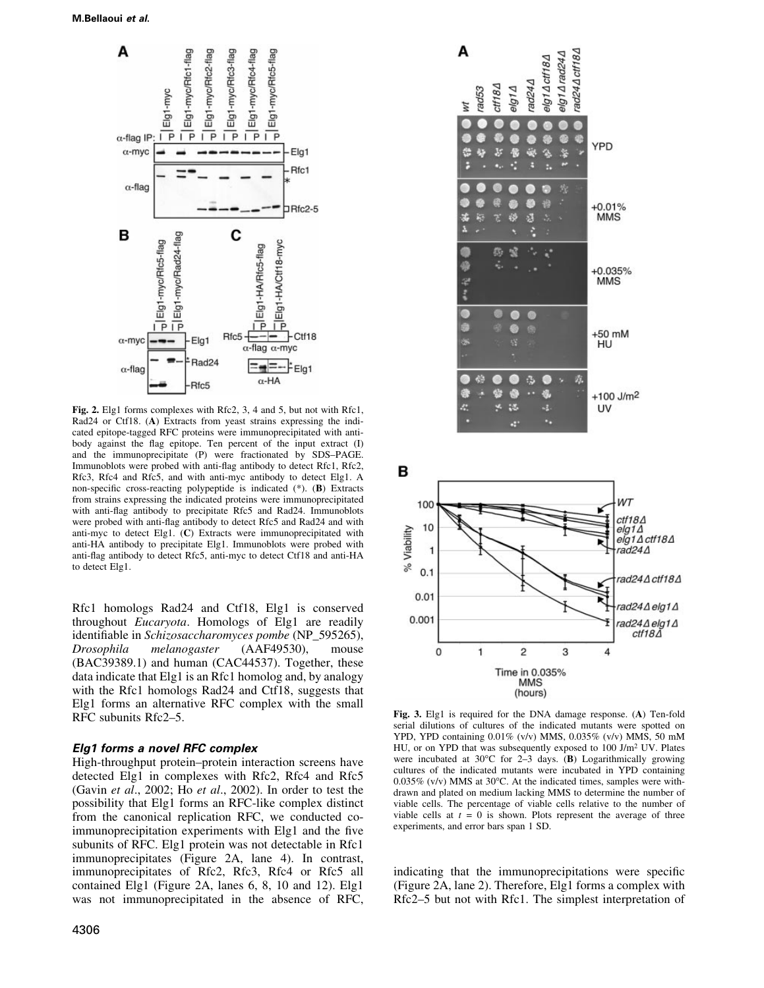

Fig. 2. Elg1 forms complexes with Rfc2, 3, 4 and 5, but not with Rfc1, Rad24 or Ctf18. (A) Extracts from yeast strains expressing the indicated epitope-tagged RFC proteins were immunoprecipitated with antibody against the flag epitope. Ten percent of the input extract (I) and the immunoprecipitate (P) were fractionated by SDS-PAGE. Immunoblots were probed with anti-flag antibody to detect Rfc1, Rfc2, Rfc3, Rfc4 and Rfc5, and with anti-myc antibody to detect Elg1. A non-specific cross-reacting polypeptide is indicated (\*). (B) Extracts from strains expressing the indicated proteins were immunoprecipitated with anti-flag antibody to precipitate Rfc5 and Rad24. Immunoblots were probed with anti-flag antibody to detect Rfc5 and Rad24 and with anti-myc to detect Elg1. (C) Extracts were immunoprecipitated with anti-HA antibody to precipitate Elg1. Immunoblots were probed with anti-flag antibody to detect Rfc5, anti-myc to detect Ctf18 and anti-HA to detect Elg1.

Rfc1 homologs Rad24 and Ctf18, Elg1 is conserved throughout Eucaryota. Homologs of Elg1 are readily identifiable in Schizosaccharomyces pombe (NP\_595265),<br>Drosophila melanogaster (AAF49530), mouse Drosophila melanogaster (AAF49530), mouse (BAC39389.1) and human (CAC44537). Together, these data indicate that Elg1 is an Rfc1 homolog and, by analogy with the Rfc1 homologs Rad24 and Ctf18, suggests that Elg1 forms an alternative RFC complex with the small RFC subunits Rfc2-5.

#### Elg1 forms a novel RFC complex

High-throughput protein-protein interaction screens have detected Elg1 in complexes with Rfc2, Rfc4 and Rfc5 (Gavin et al., 2002; Ho et al., 2002). In order to test the possibility that Elg1 forms an RFC-like complex distinct from the canonical replication RFC, we conducted coimmunoprecipitation experiments with Elg1 and the five subunits of RFC. Elg1 protein was not detectable in Rfc1 immunoprecipitates (Figure 2A, lane 4). In contrast, immunoprecipitates of Rfc2, Rfc3, Rfc4 or Rfc5 all contained Elg1 (Figure 2A, lanes 6, 8, 10 and 12). Elg1 was not immunoprecipitated in the absence of RFC,



Fig. 3. Elg1 is required for the DNA damage response. (A) Ten-fold serial dilutions of cultures of the indicated mutants were spotted on YPD, YPD containing 0.01% (v/v) MMS, 0.035% (v/v) MMS, 50 mM HU, or on YPD that was subsequently exposed to 100 J/m2 UV. Plates were incubated at 30 $^{\circ}$ C for 2 $-$ 3 days. (B) Logarithmically growing cultures of the indicated mutants were incubated in YPD containing 0.035% (v/v) MMS at 30°C. At the indicated times, samples were withdrawn and plated on medium lacking MMS to determine the number of viable cells. The percentage of viable cells relative to the number of viable cells at  $t = 0$  is shown. Plots represent the average of three experiments, and error bars span 1 SD.

indicating that the immunoprecipitations were specific (Figure 2A, lane 2). Therefore, Elg1 forms a complex with Rfc2-5 but not with Rfc1. The simplest interpretation of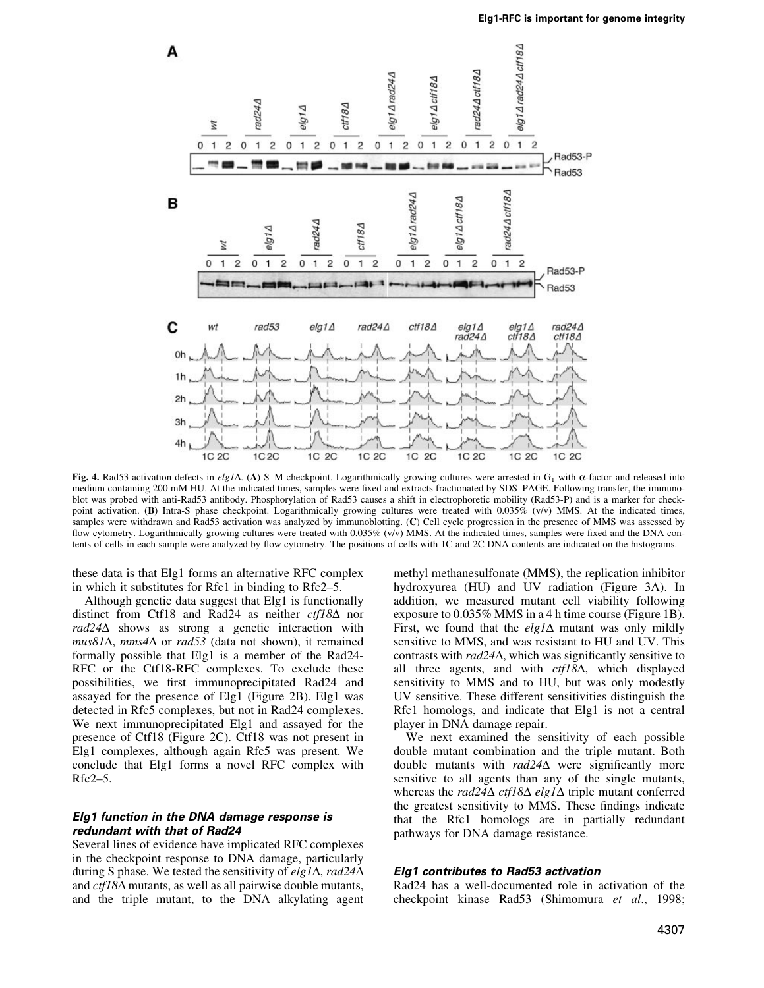

Fig. 4. Rad53 activation defects in elg1 $\Delta$ . (A) S–M checkpoint. Logarithmically growing cultures were arrested in G<sub>1</sub> with  $\alpha$ -factor and released into medium containing 200 mM HU. At the indicated times, samples were fixed and extracts fractionated by SDS-PAGE. Following transfer, the immunoblot was probed with anti-Rad53 antibody. Phosphorylation of Rad53 causes a shift in electrophoretic mobility (Rad53-P) and is a marker for checkpoint activation. (B) Intra-S phase checkpoint. Logarithmically growing cultures were treated with 0.035% (v/v) MMS. At the indicated times, samples were withdrawn and Rad53 activation was analyzed by immunoblotting. (C) Cell cycle progression in the presence of MMS was assessed by flow cytometry. Logarithmically growing cultures were treated with  $0.035\%$  (v/v) MMS. At the indicated times, samples were fixed and the DNA contents of cells in each sample were analyzed by flow cytometry. The positions of cells with 1C and 2C DNA contents are indicated on the histograms.

these data is that Elg1 forms an alternative RFC complex in which it substitutes for Rfc1 in binding to  $Rfc2-5$ .

Although genetic data suggest that Elg1 is functionally distinct from Ctf18 and Rad24 as neither  $ctf18\Delta$  nor  $rad24\Delta$  shows as strong a genetic interaction with  $mus81\Delta, mms4\Delta$  or rad53 (data not shown), it remained formally possible that Elg1 is a member of the Rad24- RFC or the Ctf18-RFC complexes. To exclude these possibilities, we first immunoprecipitated Rad24 and assayed for the presence of Elg1 (Figure 2B). Elg1 was detected in Rfc5 complexes, but not in Rad24 complexes. We next immunoprecipitated Elg1 and assayed for the presence of Ctf18 (Figure 2C). Ctf18 was not present in Elg1 complexes, although again Rfc5 was present. We conclude that Elg1 forms a novel RFC complex with  $Rfc2-5$ .

# Elg1 function in the DNA damage response is redundant with that of Rad24

Several lines of evidence have implicated RFC complexes in the checkpoint response to DNA damage, particularly during S phase. We tested the sensitivity of elg1 $\Delta$ , rad24 $\Delta$ and  $ctf18\Delta$  mutants, as well as all pairwise double mutants, and the triple mutant, to the DNA alkylating agent

methyl methanesulfonate (MMS), the replication inhibitor hydroxyurea (HU) and UV radiation (Figure 3A). In addition, we measured mutant cell viability following exposure to 0.035% MMS in a 4 h time course (Figure 1B). First, we found that the  $elg1\Delta$  mutant was only mildly sensitive to MMS, and was resistant to HU and UV. This contrasts with  $rad24\Delta$ , which was significantly sensitive to all three agents, and with  $ct/18\Delta$ , which displayed sensitivity to MMS and to HU, but was only modestly UV sensitive. These different sensitivities distinguish the Rfc1 homologs, and indicate that Elg1 is not a central player in DNA damage repair.

We next examined the sensitivity of each possible double mutant combination and the triple mutant. Both double mutants with  $rad24\Delta$  were significantly more sensitive to all agents than any of the single mutants, whereas the rad24 $\Delta$  ctf18 $\Delta$  elg1 $\Delta$  triple mutant conferred the greatest sensitivity to MMS. These findings indicate that the Rfc1 homologs are in partially redundant pathways for DNA damage resistance.

### Elg1 contributes to Rad53 activation

Rad24 has a well-documented role in activation of the checkpoint kinase Rad53 (Shimomura et al., 1998;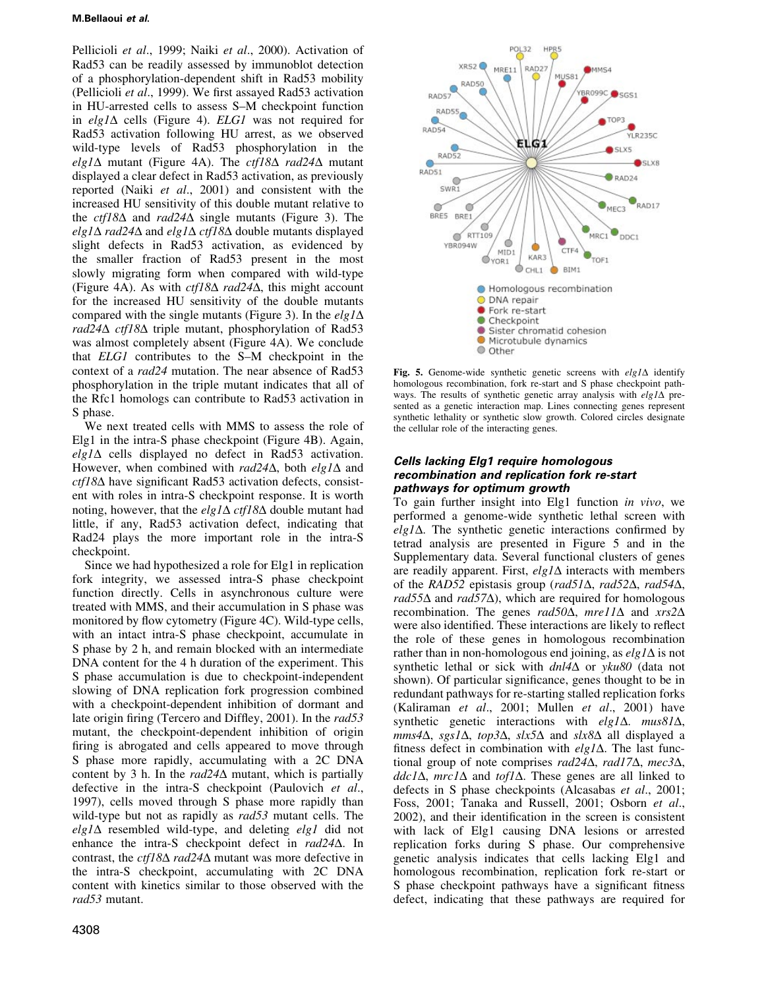### M.Bellaoui et al.

Pellicioli et al., 1999; Naiki et al., 2000). Activation of Rad53 can be readily assessed by immunoblot detection of a phosphorylation-dependent shift in Rad53 mobility (Pellicioli et al., 1999). We first assayed Rad53 activation in HU-arrested cells to assess S-M checkpoint function in elg1 $\Delta$  cells (Figure 4). ELG1 was not required for Rad53 activation following HU arrest, as we observed wild-type levels of Rad53 phosphorylation in the elg1 $\Delta$  mutant (Figure 4A). The ctf18 $\Delta$  rad24 $\Delta$  mutant displayed a clear defect in Rad53 activation, as previously reported (Naiki et al., 2001) and consistent with the increased HU sensitivity of this double mutant relative to the *ctf18* $\Delta$  and *rad24* $\Delta$  single mutants (Figure 3). The elg1 $\Delta$  rad24 $\Delta$  and elg1 $\Delta$  ctf18 $\Delta$  double mutants displayed slight defects in Rad53 activation, as evidenced by the smaller fraction of Rad53 present in the most slowly migrating form when compared with wild-type (Figure 4A). As with  $ct/18\Delta$  rad $24\Delta$ , this might account for the increased HU sensitivity of the double mutants compared with the single mutants (Figure 3). In the  $elg1\Delta$ rad24 $\Delta$  ctf18 $\Delta$  triple mutant, phosphorylation of Rad53 was almost completely absent (Figure 4A). We conclude that  $ELGI$  contributes to the S-M checkpoint in the context of a rad24 mutation. The near absence of Rad53 phosphorylation in the triple mutant indicates that all of the Rfc1 homologs can contribute to Rad53 activation in S phase.

We next treated cells with MMS to assess the role of Elg1 in the intra-S phase checkpoint (Figure 4B). Again,  $elg1\Delta$  cells displayed no defect in Rad53 activation. However, when combined with rad24 $\Delta$ , both elg1 $\Delta$  and  $ctf18\Delta$  have significant Rad53 activation defects, consistent with roles in intra-S checkpoint response. It is worth noting, however, that the elg1 $\Delta$  ctf18 $\Delta$  double mutant had little, if any, Rad53 activation defect, indicating that Rad24 plays the more important role in the intra-S checkpoint.

Since we had hypothesized a role for Elg1 in replication fork integrity, we assessed intra-S phase checkpoint function directly. Cells in asynchronous culture were treated with MMS, and their accumulation in S phase was monitored by flow cytometry (Figure 4C). Wild-type cells, with an intact intra-S phase checkpoint, accumulate in S phase by 2 h, and remain blocked with an intermediate DNA content for the 4 h duration of the experiment. This S phase accumulation is due to checkpoint-independent slowing of DNA replication fork progression combined with a checkpoint-dependent inhibition of dormant and late origin firing (Tercero and Diffley, 2001). In the  $rad53$ mutant, the checkpoint-dependent inhibition of origin firing is abrogated and cells appeared to move through S phase more rapidly, accumulating with a 2C DNA content by 3 h. In the rad  $24\Delta$  mutant, which is partially defective in the intra-S checkpoint (Paulovich et al., 1997), cells moved through S phase more rapidly than wild-type but not as rapidly as rad53 mutant cells. The  $elg1\Delta$  resembled wild-type, and deleting  $elg1$  did not enhance the intra-S checkpoint defect in  $rad24\Delta$ . In contrast, the  $ctf18\Delta$  rad $24\Delta$  mutant was more defective in the intra-S checkpoint, accumulating with 2C DNA content with kinetics similar to those observed with the rad53 mutant.



Fig. 5. Genome-wide synthetic genetic screens with  $elg/\Delta$  identify homologous recombination, fork re-start and S phase checkpoint pathways. The results of synthetic genetic array analysis with  $elg1\Delta$  presented as a genetic interaction map. Lines connecting genes represent synthetic lethality or synthetic slow growth. Colored circles designate the cellular role of the interacting genes.

# Cells lacking Elg1 require homologous recombination and replication fork re-start pathways for optimum growth

To gain further insight into Elg1 function in vivo, we performed a genome-wide synthetic lethal screen with  $elg1\Delta$ . The synthetic genetic interactions confirmed by tetrad analysis are presented in Figure 5 and in the Supplementary data. Several functional clusters of genes are readily apparent. First,  $elg1\Delta$  interacts with members of the RAD52 epistasis group (rad51 $\Delta$ , rad52 $\Delta$ , rad54 $\Delta$ , rad55 $\Delta$  and rad57 $\Delta$ ), which are required for homologous recombination. The genes rad50 $\Delta$ , mre11 $\Delta$  and xrs2 $\Delta$ were also identified. These interactions are likely to reflect the role of these genes in homologous recombination rather than in non-homologous end joining, as  $elg1\Delta$  is not synthetic lethal or sick with  $dnl4\Delta$  or yku80 (data not shown). Of particular significance, genes thought to be in redundant pathways for re-starting stalled replication forks (Kaliraman et al., 2001; Mullen et al., 2001) have synthetic genetic interactions with  $elg1\Delta$ . mus81 $\Delta$ ,  $mms4\Delta$ , sgs1 $\Delta$ , top3 $\Delta$ , slx5 $\Delta$  and slx8 $\Delta$  all displayed a fitness defect in combination with  $elg1\Delta$ . The last functional group of note comprises  $rad24\Delta$ ,  $rad17\Delta$ ,  $mec3\Delta$ ,  $ddc1\Delta$ , mrc $1\Delta$  and tof $1\Delta$ . These genes are all linked to defects in S phase checkpoints (Alcasabas et al., 2001; Foss, 2001; Tanaka and Russell, 2001; Osborn et al., 2002), and their identification in the screen is consistent with lack of Elg1 causing DNA lesions or arrested replication forks during S phase. Our comprehensive genetic analysis indicates that cells lacking Elg1 and homologous recombination, replication fork re-start or S phase checkpoint pathways have a significant fitness defect, indicating that these pathways are required for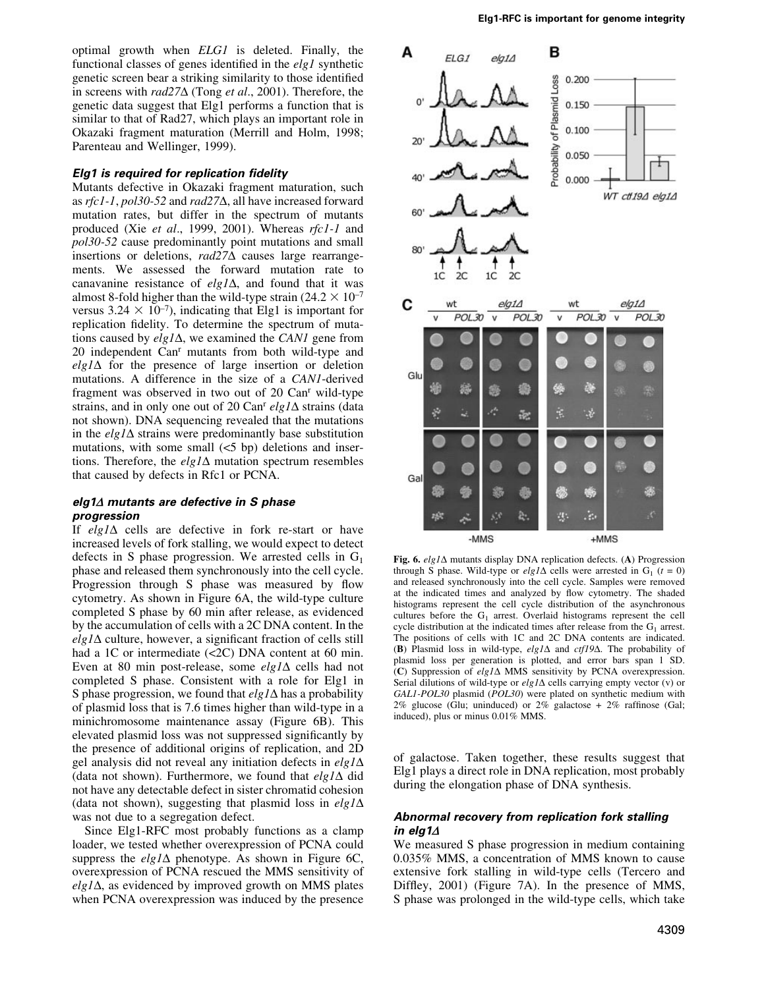optimal growth when ELG1 is deleted. Finally, the functional classes of genes identified in the  $elgl$  synthetic genetic screen bear a striking similarity to those identified in screens with rad $27\Delta$  (Tong *et al.*, 2001). Therefore, the genetic data suggest that Elg1 performs a function that is similar to that of Rad27, which plays an important role in Okazaki fragment maturation (Merrill and Holm, 1998; Parenteau and Wellinger, 1999).

### $E$ lg1 is required for replication fidelity

Mutants defective in Okazaki fragment maturation, such as  $rfc1-1$ ,  $pol30-52$  and  $rad27\Delta$ , all have increased forward mutation rates, but differ in the spectrum of mutants produced (Xie et al., 1999, 2001). Whereas rfc1-1 and pol30-52 cause predominantly point mutations and small insertions or deletions,  $rad27\Delta$  causes large rearrangements. We assessed the forward mutation rate to canavanine resistance of  $elg1\Delta$ , and found that it was almost 8-fold higher than the wild-type strain ( $24.2 \times 10^{-7}$ ) versus 3.24  $\times$  10<sup>-7</sup>), indicating that Elg1 is important for replication fidelity. To determine the spectrum of mutations caused by  $elg1\Delta$ , we examined the CAN1 gene from 20 independent Can<sup>r</sup> mutants from both wild-type and  $elg1\Delta$  for the presence of large insertion or deletion mutations. A difference in the size of a CAN1-derived fragment was observed in two out of 20 Canr wild-type strains, and in only one out of 20 Can<sup>r</sup> elg1 $\Delta$  strains (data not shown). DNA sequencing revealed that the mutations in the  $elg1\Delta$  strains were predominantly base substitution mutations, with some small  $(<5$  bp) deletions and insertions. Therefore, the  $elg1\Delta$  mutation spectrum resembles that caused by defects in Rfc1 or PCNA.

### elg1 $\Delta$  mutants are defective in S phase progression

If  $elg1\Delta$  cells are defective in fork re-start or have increased levels of fork stalling, we would expect to detect defects in S phase progression. We arrested cells in  $G_1$ phase and released them synchronously into the cell cycle. Progression through S phase was measured by flow cytometry. As shown in Figure 6A, the wild-type culture completed S phase by 60 min after release, as evidenced by the accumulation of cells with a 2C DNA content. In the  $elg1\Delta$  culture, however, a significant fraction of cells still had a 1C or intermediate (<2C) DNA content at 60 min. Even at 80 min post-release, some  $elg1\Delta$  cells had not completed S phase. Consistent with a role for Elg1 in S phase progression, we found that  $\operatorname{elgl}\Delta$  has a probability of plasmid loss that is 7.6 times higher than wild-type in a minichromosome maintenance assay (Figure 6B). This elevated plasmid loss was not suppressed significantly by the presence of additional origins of replication, and 2D gel analysis did not reveal any initiation defects in  $elg1\Delta$ (data not shown). Furthermore, we found that  $elg1\Delta$  did not have any detectable defect in sister chromatid cohesion (data not shown), suggesting that plasmid loss in  $elg1\Delta$ was not due to a segregation defect.

Since Elg1-RFC most probably functions as a clamp loader, we tested whether overexpression of PCNA could suppress the  $elg1\Delta$  phenotype. As shown in Figure 6C, overexpression of PCNA rescued the MMS sensitivity of  $elg1\Delta$ , as evidenced by improved growth on MMS plates when PCNA overexpression was induced by the presence



Fig. 6.  $elg1\Delta$  mutants display DNA replication defects. (A) Progression through S phase. Wild-type or *elg1* $\Delta$  cells were arrested in G<sub>1</sub> (t = 0) and released synchronously into the cell cycle. Samples were removed at the indicated times and analyzed by flow cytometry. The shaded histograms represent the cell cycle distribution of the asynchronous cultures before the  $G_1$  arrest. Overlaid histograms represent the cell cycle distribution at the indicated times after release from the  $G_1$  arrest. The positions of cells with 1C and 2C DNA contents are indicated. (B) Plasmid loss in wild-type, elg1 $\Delta$  and ctf19 $\Delta$ . The probability of plasmid loss per generation is plotted, and error bars span 1 SD. (C) Suppression of  $elg1\Delta$  MMS sensitivity by PCNA overexpression. Serial dilutions of wild-type or  $elg1\Delta$  cells carrying empty vector (v) or GAL1-POL30 plasmid (POL30) were plated on synthetic medium with 2% glucose (Glu; uninduced) or 2% galactose + 2% raffinose (Gal; induced), plus or minus 0.01% MMS.

of galactose. Taken together, these results suggest that Elg1 plays a direct role in DNA replication, most probably during the elongation phase of DNA synthesis.

# Abnormal recovery from replication fork stalling in elg1 $\Delta$

We measured S phase progression in medium containing 0.035% MMS, a concentration of MMS known to cause extensive fork stalling in wild-type cells (Tercero and Diffley,  $2001$ ) (Figure 7A). In the presence of MMS, S phase was prolonged in the wild-type cells, which take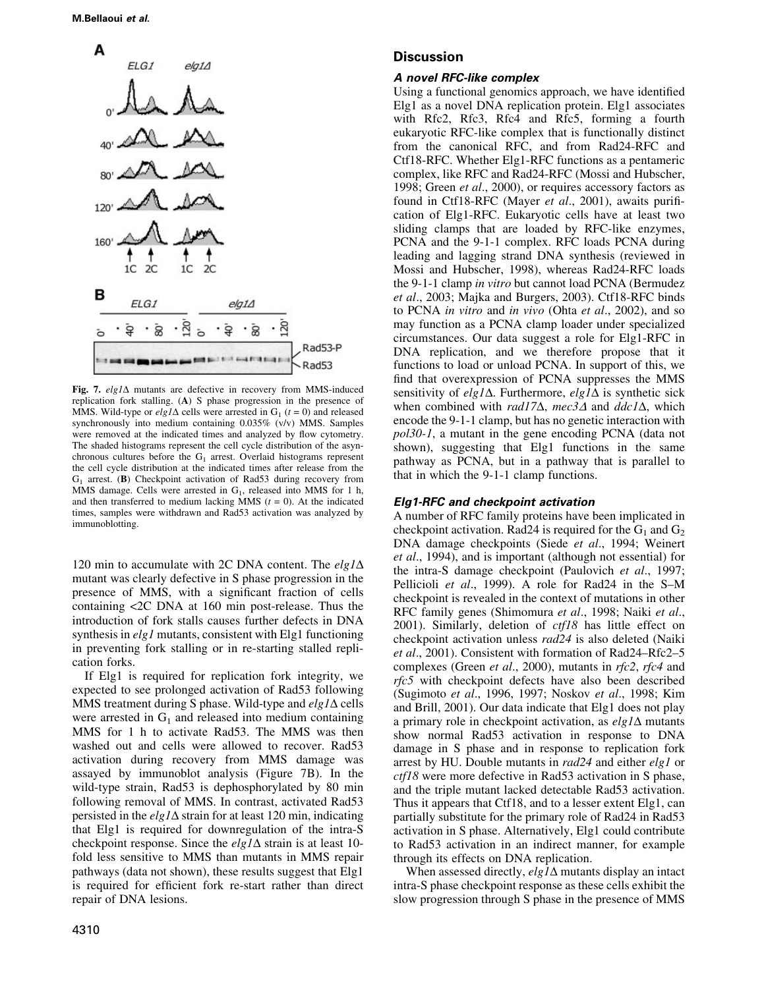

Fig. 7.  $elg1\Delta$  mutants are defective in recovery from MMS-induced replication fork stalling. (A) S phase progression in the presence of MMS. Wild-type or  $elg1\Delta$  cells were arrested in G<sub>1</sub> ( $t = 0$ ) and released synchronously into medium containing 0.035% (v/v) MMS. Samples were removed at the indicated times and analyzed by flow cytometry. The shaded histograms represent the cell cycle distribution of the asynchronous cultures before the  $G_1$  arrest. Overlaid histograms represent the cell cycle distribution at the indicated times after release from the G1 arrest. (B) Checkpoint activation of Rad53 during recovery from MMS damage. Cells were arrested in  $G<sub>1</sub>$ , released into MMS for 1 h, and then transferred to medium lacking MMS ( $t = 0$ ). At the indicated times, samples were withdrawn and Rad53 activation was analyzed by immunoblotting.

120 min to accumulate with 2C DNA content. The  $elg1\Delta$ mutant was clearly defective in S phase progression in the presence of MMS, with a significant fraction of cells containing <2C DNA at 160 min post-release. Thus the introduction of fork stalls causes further defects in DNA synthesis in *elg1* mutants, consistent with Elg1 functioning in preventing fork stalling or in re-starting stalled replication forks.

If Elg1 is required for replication fork integrity, we expected to see prolonged activation of Rad53 following MMS treatment during S phase. Wild-type and  $elg1\Delta$  cells were arrested in  $G_1$  and released into medium containing MMS for 1 h to activate Rad53. The MMS was then washed out and cells were allowed to recover. Rad53 activation during recovery from MMS damage was assayed by immunoblot analysis (Figure 7B). In the wild-type strain, Rad53 is dephosphorylated by 80 min following removal of MMS. In contrast, activated Rad53 persisted in the  $elg1\Delta$  strain for at least 120 min, indicating that Elg1 is required for downregulation of the intra-S checkpoint response. Since the  $elg1\Delta$  strain is at least 10fold less sensitive to MMS than mutants in MMS repair pathways (data not shown), these results suggest that Elg1 is required for efficient fork re-start rather than direct repair of DNA lesions.

# **Discussion**

#### A novel RFC-like complex

Using a functional genomics approach, we have identified Elg1 as a novel DNA replication protein. Elg1 associates with Rfc2, Rfc3, Rfc4 and Rfc5, forming a fourth eukaryotic RFC-like complex that is functionally distinct from the canonical RFC, and from Rad24-RFC and Ctf18-RFC. Whether Elg1-RFC functions as a pentameric complex, like RFC and Rad24-RFC (Mossi and Hubscher, 1998; Green et al., 2000), or requires accessory factors as found in Ctf18-RFC (Mayer et al., 2001), awaits purification of Elg1-RFC. Eukaryotic cells have at least two sliding clamps that are loaded by RFC-like enzymes, PCNA and the 9-1-1 complex. RFC loads PCNA during leading and lagging strand DNA synthesis (reviewed in Mossi and Hubscher, 1998), whereas Rad24-RFC loads the 9-1-1 clamp in vitro but cannot load PCNA (Bermudez et al., 2003; Majka and Burgers, 2003). Ctf18-RFC binds to PCNA in vitro and in vivo (Ohta et al., 2002), and so may function as a PCNA clamp loader under specialized circumstances. Our data suggest a role for Elg1-RFC in DNA replication, and we therefore propose that it functions to load or unload PCNA. In support of this, we find that overexpression of PCNA suppresses the MMS sensitivity of elg1 $\Delta$ . Furthermore, elg1 $\Delta$  is synthetic sick when combined with rad17 $\Delta$ , mec3 $\Delta$  and ddc1 $\Delta$ , which encode the 9-1-1 clamp, but has no genetic interaction with pol30-1, a mutant in the gene encoding PCNA (data not shown), suggesting that Elg1 functions in the same pathway as PCNA, but in a pathway that is parallel to that in which the 9-1-1 clamp functions.

## Elg1-RFC and checkpoint activation

A number of RFC family proteins have been implicated in checkpoint activation. Rad24 is required for the  $G_1$  and  $G_2$ DNA damage checkpoints (Siede et al., 1994; Weinert et al., 1994), and is important (although not essential) for the intra-S damage checkpoint (Paulovich et al., 1997; Pellicioli et al., 1999). A role for Rad24 in the S-M checkpoint is revealed in the context of mutations in other RFC family genes (Shimomura et al., 1998; Naiki et al., 2001). Similarly, deletion of ctf18 has little effect on checkpoint activation unless rad24 is also deleted (Naiki et al., 2001). Consistent with formation of Rad24-Rfc2-5 complexes (Green et al., 2000), mutants in rfc2, rfc4 and rfc5 with checkpoint defects have also been described (Sugimoto et al., 1996, 1997; Noskov et al., 1998; Kim and Brill, 2001). Our data indicate that Elg1 does not play a primary role in checkpoint activation, as  $elg1\Delta$  mutants show normal Rad53 activation in response to DNA damage in S phase and in response to replication fork arrest by HU. Double mutants in rad24 and either elg1 or ctf18 were more defective in Rad53 activation in S phase, and the triple mutant lacked detectable Rad53 activation. Thus it appears that Ctf18, and to a lesser extent Elg1, can partially substitute for the primary role of Rad24 in Rad53 activation in S phase. Alternatively, Elg1 could contribute to Rad53 activation in an indirect manner, for example through its effects on DNA replication.

When assessed directly,  $elg1\Delta$  mutants display an intact intra-S phase checkpoint response as these cells exhibit the slow progression through S phase in the presence of MMS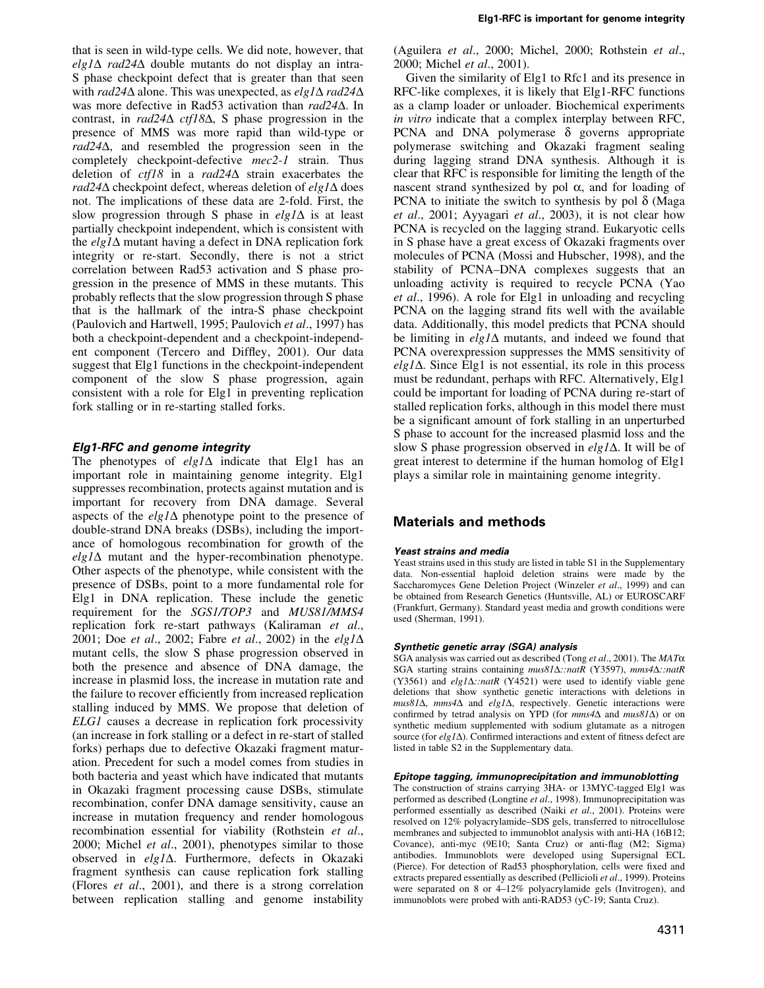that is seen in wild-type cells. We did note, however, that elg1 $\Delta$  rad24 $\Delta$  double mutants do not display an intra-S phase checkpoint defect that is greater than that seen with rad24 $\Delta$  alone. This was unexpected, as elg1 $\Delta$  rad24 $\Delta$ was more defective in Rad53 activation than rad24 $\Delta$ . In contrast, in  $rad24\Delta$  ctf18 $\Delta$ , S phase progression in the presence of MMS was more rapid than wild-type or  $rad24\Delta$ , and resembled the progression seen in the completely checkpoint-defective mec2-1 strain. Thus deletion of  $\text{cf }18$  in a rad24 $\Delta$  strain exacerbates the rad24 $\Delta$  checkpoint defect, whereas deletion of elg1 $\Delta$  does not. The implications of these data are 2-fold. First, the slow progression through S phase in  $elg1\Delta$  is at least partially checkpoint independent, which is consistent with the  $elg1\Delta$  mutant having a defect in DNA replication fork integrity or re-start. Secondly, there is not a strict correlation between Rad53 activation and S phase progression in the presence of MMS in these mutants. This probably reflects that the slow progression through S phase that is the hallmark of the intra-S phase checkpoint (Paulovich and Hartwell, 1995; Paulovich et al., 1997) has both a checkpoint-dependent and a checkpoint-independent component (Tercero and Diffley, 2001). Our data suggest that Elg1 functions in the checkpoint-independent component of the slow S phase progression, again consistent with a role for Elg1 in preventing replication fork stalling or in re-starting stalled forks.

# Elg1-RFC and genome integrity

The phenotypes of  $elg1\Delta$  indicate that Elg1 has an important role in maintaining genome integrity. Elg1 suppresses recombination, protects against mutation and is important for recovery from DNA damage. Several aspects of the  $elg1\Delta$  phenotype point to the presence of double-strand DNA breaks (DSBs), including the importance of homologous recombination for growth of the  $elg1\Delta$  mutant and the hyper-recombination phenotype. Other aspects of the phenotype, while consistent with the presence of DSBs, point to a more fundamental role for Elg1 in DNA replication. These include the genetic requirement for the SGS1/TOP3 and MUS81/MMS4 replication fork re-start pathways (Kaliraman et al., 2001; Doe et al., 2002; Fabre et al., 2002) in the elg1 $\Delta$ mutant cells, the slow S phase progression observed in both the presence and absence of DNA damage, the increase in plasmid loss, the increase in mutation rate and the failure to recover efficiently from increased replication stalling induced by MMS. We propose that deletion of ELG1 causes a decrease in replication fork processivity (an increase in fork stalling or a defect in re-start of stalled forks) perhaps due to defective Okazaki fragment maturation. Precedent for such a model comes from studies in both bacteria and yeast which have indicated that mutants in Okazaki fragment processing cause DSBs, stimulate recombination, confer DNA damage sensitivity, cause an increase in mutation frequency and render homologous recombination essential for viability (Rothstein et al., 2000; Michel et al., 2001), phenotypes similar to those observed in  $elg1\Delta$ . Furthermore, defects in Okazaki fragment synthesis can cause replication fork stalling (Flores et al., 2001), and there is a strong correlation between replication stalling and genome instability (Aguilera et al., 2000; Michel, 2000; Rothstein et al., 2000; Michel et al., 2001).

Given the similarity of Elg1 to Rfc1 and its presence in RFC-like complexes, it is likely that Elg1-RFC functions as a clamp loader or unloader. Biochemical experiments in vitro indicate that a complex interplay between RFC, PCNA and DNA polymerase  $\delta$  governs appropriate polymerase switching and Okazaki fragment sealing during lagging strand DNA synthesis. Although it is clear that RFC is responsible for limiting the length of the nascent strand synthesized by pol  $\alpha$ , and for loading of PCNA to initiate the switch to synthesis by pol  $\delta$  (Maga et al., 2001; Ayyagari et al., 2003), it is not clear how PCNA is recycled on the lagging strand. Eukaryotic cells in S phase have a great excess of Okazaki fragments over molecules of PCNA (Mossi and Hubscher, 1998), and the stability of PCNA–DNA complexes suggests that an unloading activity is required to recycle PCNA (Yao et al., 1996). A role for Elg1 in unloading and recycling PCNA on the lagging strand fits well with the available data. Additionally, this model predicts that PCNA should be limiting in  $elg1\Delta$  mutants, and indeed we found that PCNA overexpression suppresses the MMS sensitivity of  $elg1\Delta$ . Since Elg1 is not essential, its role in this process must be redundant, perhaps with RFC. Alternatively, Elg1 could be important for loading of PCNA during re-start of stalled replication forks, although in this model there must be a significant amount of fork stalling in an unperturbed S phase to account for the increased plasmid loss and the slow S phase progression observed in  $elg1\Delta$ . It will be of great interest to determine if the human homolog of Elg1 plays a similar role in maintaining genome integrity.

# Materials and methods

# Yeast strains and media

Yeast strains used in this study are listed in table S1 in the Supplementary data. Non-essential haploid deletion strains were made by the Saccharomyces Gene Deletion Project (Winzeler et al., 1999) and can be obtained from Research Genetics (Huntsville, AL) or EUROSCARF (Frankfurt, Germany). Standard yeast media and growth conditions were used (Sherman, 1991).

### Synthetic genetic array (SGA) analysis

SGA analysis was carried out as described (Tong *et al.*, 2001). The  $MAT\alpha$ SGA starting strains containing mus81 $\Delta$ ::natR (Y3597), mms4 $\Delta$ ::natR (Y3561) and  $elg1\Delta: \pi$ ratR (Y4521) were used to identify viable gene deletions that show synthetic genetic interactions with deletions in  $mus81\Delta$ , mms4 $\Delta$  and elg1 $\Delta$ , respectively. Genetic interactions were confirmed by tetrad analysis on YPD (for  $mms4\Delta$  and  $mus81\Delta$ ) or on synthetic medium supplemented with sodium glutamate as a nitrogen source (for  $elg1\Delta$ ). Confirmed interactions and extent of fitness defect are listed in table S2 in the Supplementary data.

#### Epitope tagging, immunoprecipitation and immunoblotting

The construction of strains carrying 3HA- or 13MYC-tagged Elg1 was performed as described (Longtine et al., 1998). Immunoprecipitation was performed essentially as described (Naiki et al., 2001). Proteins were resolved on 12% polyacrylamide-SDS gels, transferred to nitrocellulose membranes and subjected to immunoblot analysis with anti-HA (16B12; Covance), anti-myc (9E10; Santa Cruz) or anti-flag (M2; Sigma) antibodies. Immunoblots were developed using Supersignal ECL (Pierce). For detection of Rad53 phosphorylation, cells were fixed and extracts prepared essentially as described (Pellicioli et al., 1999). Proteins were separated on 8 or 4-12% polyacrylamide gels (Invitrogen), and immunoblots were probed with anti-RAD53 (yC-19; Santa Cruz).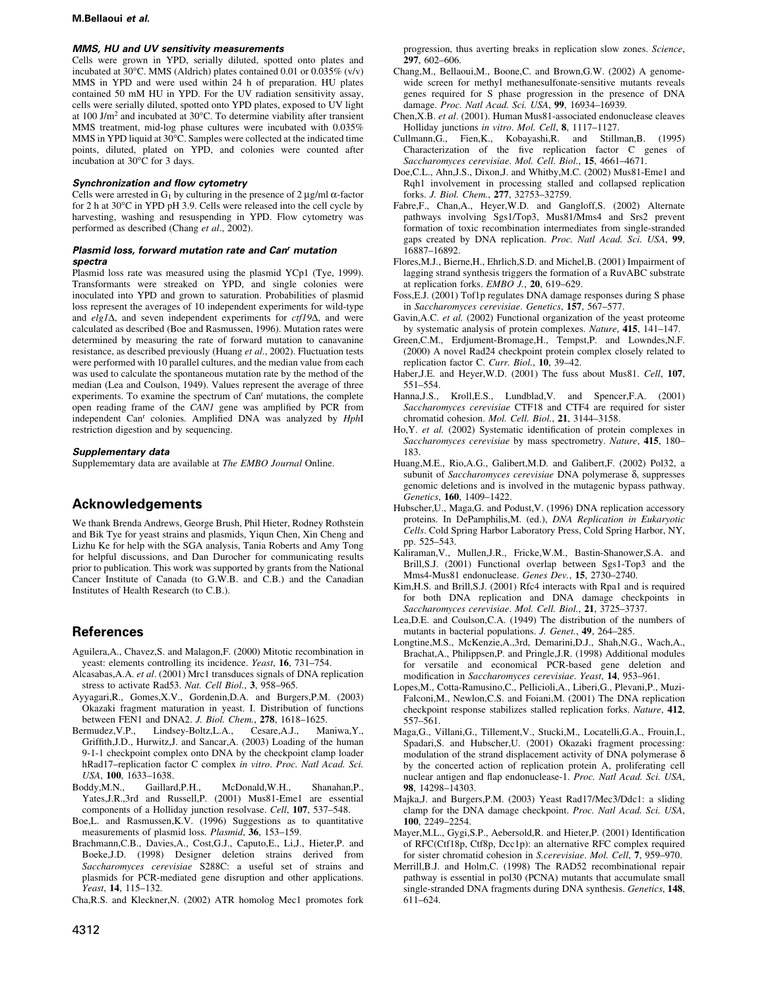#### M.Bellaoui et al.

### MMS, HU and UV sensitivity measurements

Cells were grown in YPD, serially diluted, spotted onto plates and incubated at 30°C. MMS (Aldrich) plates contained 0.01 or 0.035% (v/v) MMS in YPD and were used within 24 h of preparation. HU plates contained 50 mM HU in YPD. For the UV radiation sensitivity assay, cells were serially diluted, spotted onto YPD plates, exposed to UV light at 100 J/m2 and incubated at 30°C. To determine viability after transient MMS treatment, mid-log phase cultures were incubated with 0.035% MMS in YPD liquid at  $30^{\circ}$ C. Samples were collected at the indicated time points, diluted, plated on YPD, and colonies were counted after incubation at 30°C for 3 days.

# Synchronization and flow cytometry

Cells were arrested in  $G_1$  by culturing in the presence of 2  $\mu$ g/ml  $\alpha$ -factor for 2 h at 30°C in YPD pH 3.9. Cells were released into the cell cycle by harvesting, washing and resuspending in YPD. Flow cytometry was performed as described (Chang et al., 2002).

### Plasmid loss, forward mutation rate and Can' mutation spectra

Plasmid loss rate was measured using the plasmid YCp1 (Tye, 1999). Transformants were streaked on YPD, and single colonies were inoculated into YPD and grown to saturation. Probabilities of plasmid loss represent the averages of 10 independent experiments for wild-type and  $elg1\Delta$ , and seven independent experiments for  $ctf19\Delta$ , and were calculated as described (Boe and Rasmussen, 1996). Mutation rates were determined by measuring the rate of forward mutation to canavanine resistance, as described previously (Huang et al., 2002). Fluctuation tests were performed with 10 parallel cultures, and the median value from each was used to calculate the spontaneous mutation rate by the method of the median (Lea and Coulson, 1949). Values represent the average of three experiments. To examine the spectrum of Can<sup>r</sup> mutations, the complete open reading frame of the CAN1 gene was amplified by PCR from independent Can<sup>r</sup> colonies. Amplified DNA was analyzed by *HphI* restriction digestion and by sequencing.

#### Supplementary data

Supplememtary data are available at The EMBO Journal Online.

# Acknowledgements

We thank Brenda Andrews, George Brush, Phil Hieter, Rodney Rothstein and Bik Tye for yeast strains and plasmids, Yiqun Chen, Xin Cheng and Lizhu Ke for help with the SGA analysis, Tania Roberts and Amy Tong for helpful discussions, and Dan Durocher for communicating results prior to publication. This work was supported by grants from the National Cancer Institute of Canada (to G.W.B. and C.B.) and the Canadian Institutes of Health Research (to C.B.).

# References

- Aguilera,A., Chavez,S. and Malagon,F. (2000) Mitotic recombination in yeast: elements controlling its incidence. Yeast, 16, 731-754.
- Alcasabas,A.A. et al. (2001) Mrc1 transduces signals of DNA replication stress to activate Rad53. Nat. Cell Biol., 3, 958-965.
- Ayyagari,R., Gomes,X.V., Gordenin,D.A. and Burgers,P.M. (2003) Okazaki fragment maturation in yeast. I. Distribution of functions between FEN1 and DNA2. J. Biol. Chem., 278, 1618-1625.
- Bermudez,V.P., Lindsey-Boltz,L.A., Cesare,A.J., Maniwa,Y., Griffith, J.D., Hurwitz, J. and Sancar, A. (2003) Loading of the human 9-1-1 checkpoint complex onto DNA by the checkpoint clamp loader hRad17-replication factor C complex in vitro. Proc. Natl Acad. Sci. USA, 100, 1633-1638.
- Boddy,M.N., Gaillard,P.H., McDonald,W.H., Shanahan,P., Yates,J.R.,3rd and Russell,P. (2001) Mus81-Eme1 are essential components of a Holliday junction resolvase. Cell, 107, 537-548.
- Boe.L. and Rasmussen, K.V. (1996) Suggestions as to quantitative measurements of plasmid loss. Plasmid, 36, 153-159.
- Brachmann,C.B., Davies,A., Cost,G.J., Caputo,E., Li,J., Hieter,P. and Boeke,J.D. (1998) Designer deletion strains derived from Saccharomyces cerevisiae S288C: a useful set of strains and plasmids for PCR-mediated gene disruption and other applications. Yeast, 14, 115-132.
- Cha,R.S. and Kleckner,N. (2002) ATR homolog Mec1 promotes fork

progression, thus averting breaks in replication slow zones. Science, 297, 602-606.

- Chang,M., Bellaoui,M., Boone,C. and Brown,G.W. (2002) A genomewide screen for methyl methanesulfonate-sensitive mutants reveals genes required for S phase progression in the presence of DNA damage. Proc. Natl Acad. Sci. USA, 99, 16934-16939.
- Chen,X.B. et al. (2001). Human Mus81-associated endonuclease cleaves Holliday junctions in vitro. Mol. Cell, 8, 1117-1127.
- Cullmann,G., Fien,K., Kobayashi,R. and Stillman,B. (1995)  $Characterization$  of the five replication factor C genes of Saccharomyces cerevisiae. Mol. Cell. Biol., 15, 4661-4671.
- Doe,C.L., Ahn,J.S., Dixon,J. and Whitby,M.C. (2002) Mus81-Eme1 and Rqh1 involvement in processing stalled and collapsed replication forks. J. Biol. Chem., 277, 32753-32759.
- Fabre,F., Chan,A., Heyer,W.D. and Gangloff,S. (2002) Alternate pathways involving Sgs1/Top3, Mus81/Mms4 and Srs2 prevent formation of toxic recombination intermediates from single-stranded gaps created by DNA replication. Proc. Natl Acad. Sci. USA, 99, 16887±16892.
- Flores,M.J., Bierne,H., Ehrlich,S.D. and Michel,B. (2001) Impairment of lagging strand synthesis triggers the formation of a RuvABC substrate at replication forks.  $EMBO$  J.,  $20$ , 619-629.
- Foss,E.J. (2001) Tof1p regulates DNA damage responses during S phase in Saccharomyces cerevisiae. Genetics, 157, 567-577.
- Gavin,A.C. et al. (2002) Functional organization of the yeast proteome by systematic analysis of protein complexes. Nature, 415, 141-147.
- Green,C.M., Erdjument-Bromage,H., Tempst,P. and Lowndes,N.F. (2000) A novel Rad24 checkpoint protein complex closely related to replication factor C. Curr. Biol., 10, 39-42.
- Haber,J.E. and Heyer,W.D. (2001) The fuss about Mus81. Cell, 107, 551±554.
- Hanna,J.S., Kroll,E.S., Lundblad,V. and Spencer,F.A. (2001) Saccharomyces cerevisiae CTF18 and CTF4 are required for sister chromatid cohesion. Mol. Cell. Biol., 21, 3144-3158.
- Ho, Y. et al. (2002) Systematic identification of protein complexes in Saccharomyces cerevisiae by mass spectrometry. Nature, 415, 180-183.
- Huang,M.E., Rio,A.G., Galibert,M.D. and Galibert,F. (2002) Pol32, a subunit of *Saccharomyces cerevisiae* DNA polymerase  $\delta$ , suppresses genomic deletions and is involved in the mutagenic bypass pathway. Genetics, 160, 1409-1422.
- Hubscher,U., Maga,G. and Podust,V. (1996) DNA replication accessory proteins. In DePamphilis,M. (ed.), DNA Replication in Eukaryotic Cells. Cold Spring Harbor Laboratory Press, Cold Spring Harbor, NY, pp. 525-543.
- Kaliraman,V., Mullen,J.R., Fricke,W.M., Bastin-Shanower,S.A. and Brill,S.J. (2001) Functional overlap between Sgs1-Top3 and the Mms4-Mus81 endonuclease. Genes Dev., 15, 2730-2740.
- Kim,H.S. and Brill,S.J. (2001) Rfc4 interacts with Rpa1 and is required for both DNA replication and DNA damage checkpoints in Saccharomyces cerevisiae. Mol. Cell. Biol., 21, 3725-3737.
- Lea,D.E. and Coulson,C.A. (1949) The distribution of the numbers of mutants in bacterial populations. J. Genet., 49, 264-285.
- Longtine,M.S., McKenzie,A.,3rd, Demarini,D.J., Shah,N.G., Wach,A., Brachat,A., Philippsen,P. and Pringle,J.R. (1998) Additional modules for versatile and economical PCR-based gene deletion and modification in Saccharomyces cerevisiae. Yeast, 14, 953-961.
- Lopes,M., Cotta-Ramusino,C., Pellicioli,A., Liberi,G., Plevani,P., Muzi-Falconi,M., Newlon,C.S. and Foiani,M. (2001) The DNA replication checkpoint response stabilizes stalled replication forks. Nature, 412, 557±561.
- Maga,G., Villani,G., Tillement,V., Stucki,M., Locatelli,G.A., Frouin,I., Spadari,S. and Hubscher,U. (2001) Okazaki fragment processing: modulation of the strand displacement activity of DNA polymerase  $\delta$ by the concerted action of replication protein A, proliferating cell nuclear antigen and flap endonuclease-1. Proc. Natl Acad. Sci. USA, 98, 14298±14303.
- Majka,J. and Burgers,P.M. (2003) Yeast Rad17/Mec3/Ddc1: a sliding clamp for the DNA damage checkpoint. Proc. Natl Acad. Sci. USA, 100, 2249-2254.
- Mayer, M.L., Gygi, S.P., Aebersold, R. and Hieter, P. (2001) Identification of RFC(Ctf18p, Ctf8p, Dcc1p): an alternative RFC complex required for sister chromatid cohesion in S.cerevisiae. Mol. Cell, 7, 959-970.
- Merrill,B.J. and Holm,C. (1998) The RAD52 recombinational repair pathway is essential in pol30 (PCNA) mutants that accumulate small single-stranded DNA fragments during DNA synthesis. Genetics, 148, 611±624.